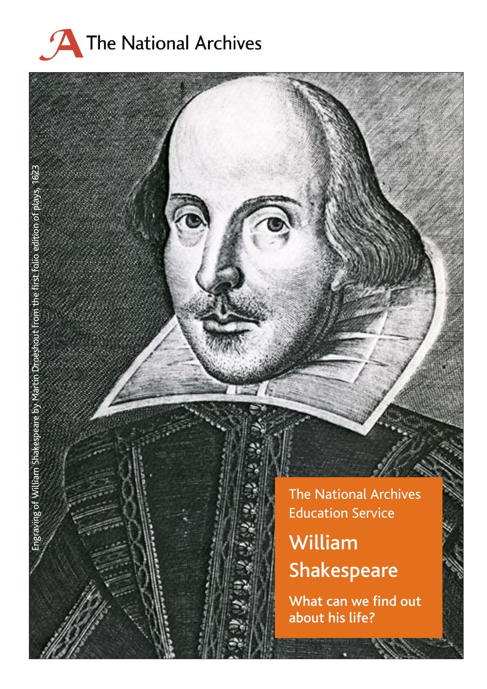

Engraving of William Shakespeare by Martin Droeshout from the first folio edition of plays, 1623

Engraving of William Shakespeare by Martin

from the first folio edition of plays, 1623

The National Archives Education Service

# William Shakespear e

What can we find out about his life?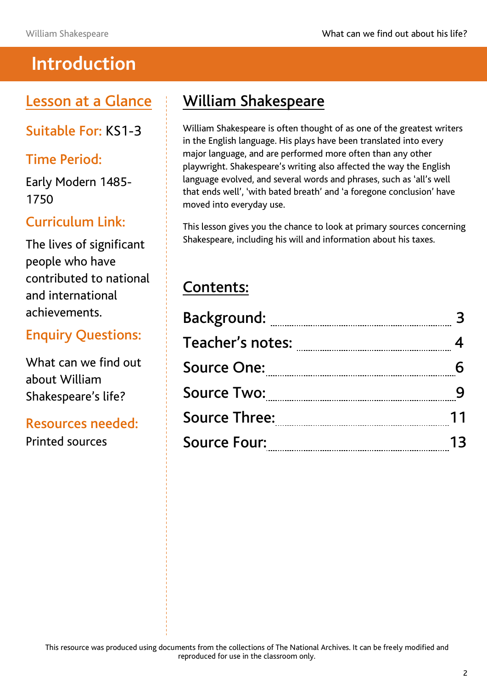## **Introduction**

Lesson at a Glance

Suitable For: KS1-3

### Time Period:

Early Modern 1485- 1750

### Curriculum Link:

The lives of significant people who have contributed to national and international achievements.

### Enquiry Questions:

What can we find out about William Shakespeare's life?

#### Resources needed:

Printed sources

## William Shakespeare

William Shakespeare is often thought of as one of the greatest writers in the English language. His plays have been translated into every major language, and are performed more often than any other playwright. Shakespeare's writing also affected the way the English language evolved, and several words and phrases, such as 'all's well that ends well', 'with bated breath' and 'a foregone conclusion' have moved into everyday use.

This lesson gives you the chance to look at primary sources concerning Shakespeare, including his will and information about his taxes.

## Contents:

| <b>Background:</b>                      |    |
|-----------------------------------------|----|
| Teacher's notes: www.communications.com |    |
| <b>Source One:</b>                      |    |
| <b>Source Two:</b>                      |    |
| <b>Source Three:</b>                    | 11 |
| <b>Source Four:</b>                     | 13 |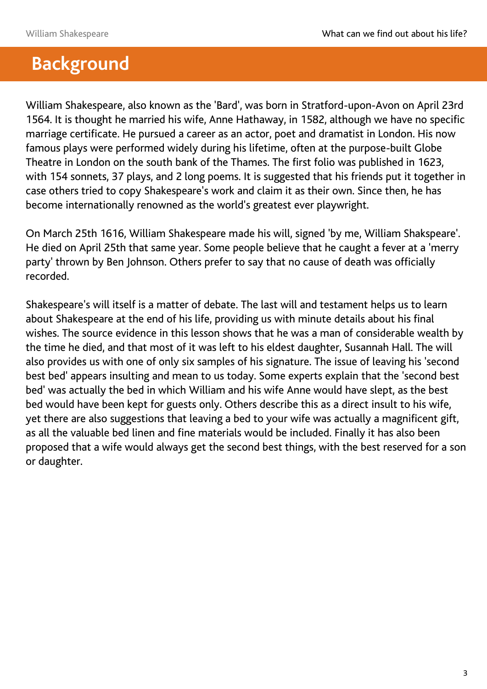## **Background**

William Shakespeare, also known as the 'Bard', was born in Stratford-upon-Avon on April 23rd 1564. It is thought he married his wife, Anne Hathaway, in 1582, although we have no specific marriage certificate. He pursued a career as an actor, poet and dramatist in London. His now famous plays were performed widely during his lifetime, often at the purpose-built Globe Theatre in London on the south bank of the Thames. The first folio was published in 1623, with 154 sonnets, 37 plays, and 2 long poems. It is suggested that his friends put it together in case others tried to copy Shakespeare's work and claim it as their own. Since then, he has become internationally renowned as the world's greatest ever playwright.

On March 25th 1616, William Shakespeare made his will, signed 'by me, William Shakspeare'. He died on April 25th that same year. Some people believe that he caught a fever at a 'merry party' thrown by Ben Johnson. Others prefer to say that no cause of death was officially recorded.

Shakespeare's will itself is a matter of debate. The last will and testament helps us to learn about Shakespeare at the end of his life, providing us with minute details about his final wishes. The source evidence in this lesson shows that he was a man of considerable wealth by the time he died, and that most of it was left to his eldest daughter, Susannah Hall. The will also provides us with one of only six samples of his signature. The issue of leaving his 'second best bed' appears insulting and mean to us today. Some experts explain that the 'second best bed' was actually the bed in which William and his wife Anne would have slept, as the best bed would have been kept for guests only. Others describe this as a direct insult to his wife, yet there are also suggestions that leaving a bed to your wife was actually a magnificent gift, as all the valuable bed linen and fine materials would be included. Finally it has also been proposed that a wife would always get the second best things, with the best reserved for a son or daughter.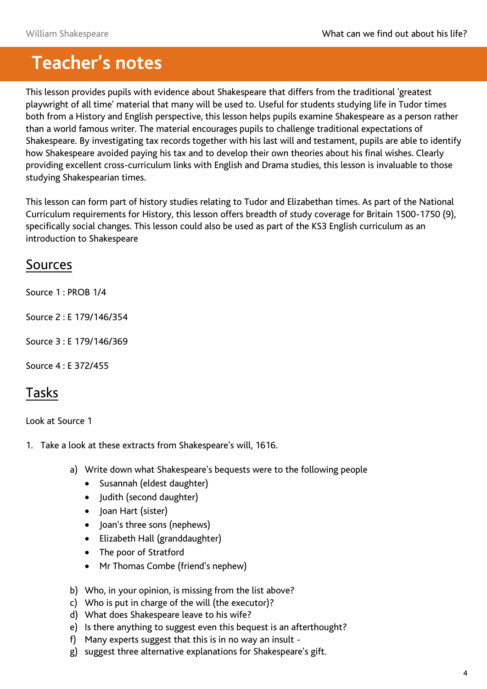## **Teacher's notes**

This lesson provides pupils with evidence about Shakespeare that differs from the traditional 'greatest playwright of all time' material that many will be used to. Useful for students studying life in Tudor times both from a History and English perspective, this lesson helps pupils examine Shakespeare as a person rather than a world famous writer. The material encourages pupils to challenge traditional expectations of Shakespeare. By investigating tax records together with his last will and testament, pupils are able to identify how Shakespeare avoided paying his tax and to develop their own theories about his final wishes. Clearly providing excellent cross-curriculum links with English and Drama studies, this lesson is invaluable to those studying Shakespearian times.

This lesson can form part of history studies relating to Tudor and Elizabethan times. As part of the National Curriculum requirements for History, this lesson offers breadth of study coverage for Britain 1500-1750 (9), specifically social changes. This lesson could also be used as part of the KS3 English curriculum as an introduction to Shakespeare

#### Sources

Source 1 : PROB 1/4

Source 2 : E 179/146/354

Source 3 : E 179/146/369

Source 4 : E 372/455

### Tasks

Look at Source 1

- 1. Take a look at these extracts from Shakespeare's will, 1616.
	- a) Write down what Shakespeare's bequests were to the following people
		- Susannah (eldest daughter)
		- Judith (second daughter)
		- Joan Hart (sister)
		- Joan's three sons (nephews)
		- Elizabeth Hall (granddaughter)
		- The poor of Stratford
		- Mr Thomas Combe (friend's nephew)
	- b) Who, in your opinion, is missing from the list above?
	- c) Who is put in charge of the will (the executor)?
	- d) What does Shakespeare leave to his wife?
	- e) Is there anything to suggest even this bequest is an afterthought?
	- f) Many experts suggest that this is in no way an insult -
	- g) suggest three alternative explanations for Shakespeare's gift.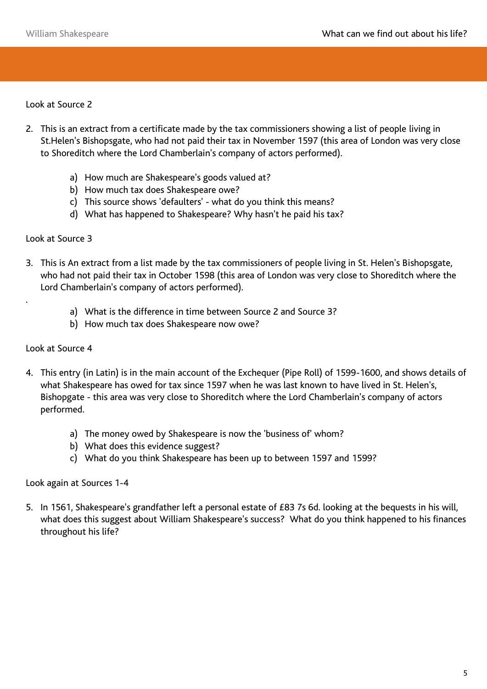Look at Source 2

- 2. This is an extract from a certificate made by the tax commissioners showing a list of people living in St.Helen's Bishopsgate, who had not paid their tax in November 1597 (this area of London was very close to Shoreditch where the Lord Chamberlain's company of actors performed).
	- a) How much are Shakespeare's goods valued at?
	- b) How much tax does Shakespeare owe?
	- c) This source shows 'defaulters' what do you think this means?
	- d) What has happened to Shakespeare? Why hasn't he paid his tax?

#### Look at Source 3

- 3. This is An extract from a list made by the tax commissioners of people living in St. Helen's Bishopsgate, who had not paid their tax in October 1598 (this area of London was very close to Shoreditch where the Lord Chamberlain's company of actors performed).
	- a) What is the difference in time between Source 2 and Source 3?
	- b) How much tax does Shakespeare now owe?

#### Look at Source 4

.

- 4. This entry (in Latin) is in the main account of the Exchequer (Pipe Roll) of 1599-1600, and shows details of what Shakespeare has owed for tax since 1597 when he was last known to have lived in St. Helen's, Bishopgate - this area was very close to Shoreditch where the Lord Chamberlain's company of actors performed.
	- a) The money owed by Shakespeare is now the 'business of' whom?
	- b) What does this evidence suggest?
	- c) What do you think Shakespeare has been up to between 1597 and 1599?

#### Look again at Sources 1-4

5. In 1561, Shakespeare's grandfather left a personal estate of £83 7s 6d. looking at the bequests in his will, what does this suggest about William Shakespeare's success? What do you think happened to his finances throughout his life?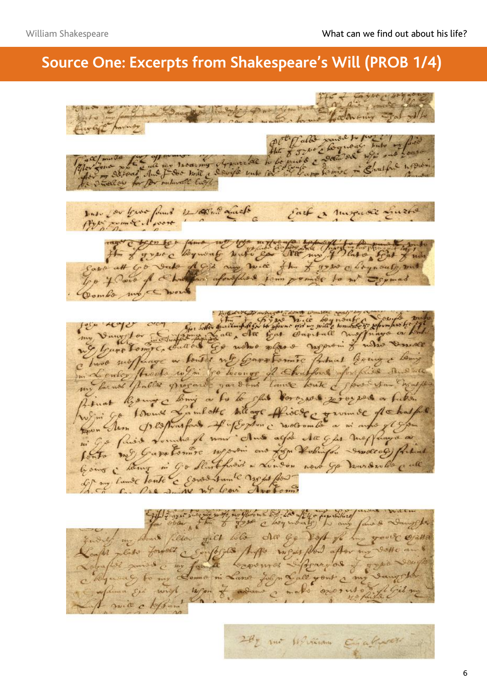## **Source One: Excerpts from Shakespeare's Will (PROB 1/4)**

 $H = 2400$ Lool Newy English furnits de la monde de la fait de la faire de la fait de la fait de la fait de la fait de la fait de la fait de la fait de la fait de la fait de la fait de la fait de la fait de la fait de la fait de la fait de la former sus for true famil 4 000. aquele Each a museuse Luzte the former logmong with go was my plate fit vate des me mie flu f pour chapmants suit Savo att Go To 4 Pour of a hours aforeflies for pomies to me Combs more work fer acque con qu'elle fait d'appel qu'il lequelle pour tres fait Church moffinge au loudis no Garatonnie Patral Coing & Long in Lenter Anote with to heavy of Chatfons for first and the me farmes parties program pardons laure toute & four san Engage Jean Avon pespousfait of fordon c mocrombe a mi anto gl gom mi Ge finis soundest nous chus agré da gles mostauxes Ponto me Garatomore neposi ano for tobiale - molto e final Et ny cause toute & sonos sun le mode for for over the of my plant of to fel for the day survier my should filler giet lile des ge disp fil y you'l Ofalla api par formos composés papa mois plus aporte a ag to my Lomo ni Lano John Lale yout a my powia chefs ...

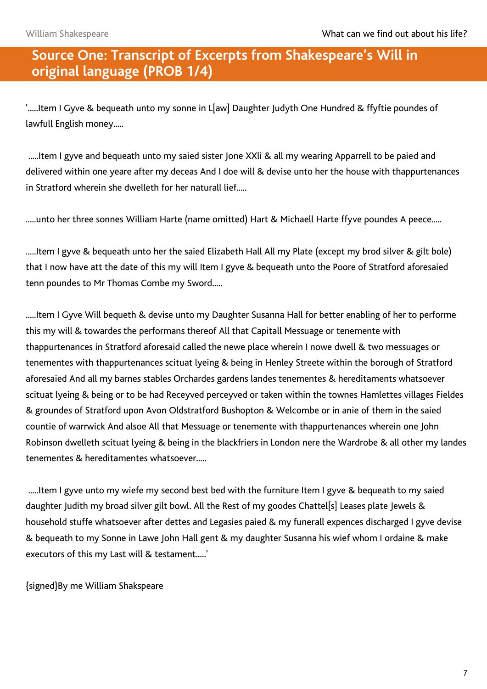#### **Source One: Transcript of Excerpts from Shakespeare's Will in original language (PROB 1/4)**

'.....Item I Gyve & bequeath unto my sonne in L[aw] Daughter Judyth One Hundred & ffyftie poundes of lawfull English money.....

.....Item I gyve and bequeath unto my saied sister Jone XXli & all my wearing Apparrell to be paied and delivered within one yeare after my deceas And I doe will & devise unto her the house with thappurtenances in Stratford wherein she dwelleth for her naturall lief.....

.....unto her three sonnes William Harte (name omitted) Hart & Michaell Harte ffyve poundes A peece.....

.....Item I gyve & bequeath unto her the saied Elizabeth Hall All my Plate (except my brod silver & gilt bole) that I now have att the date of this my will Item I gyve & bequeath unto the Poore of Stratford aforesaied tenn poundes to Mr Thomas Combe my Sword.....

.....Item I Gyve Will bequeth & devise unto my Daughter Susanna Hall for better enabling of her to performe this my will & towardes the performans thereof All that Capitall Messuage or tenemente with thappurtenances in Stratford aforesaid called the newe place wherein I nowe dwell & two messuages or tenementes with thappurtenances scituat lyeing & being in Henley Streete within the borough of Stratford aforesaied And all my barnes stables Orchardes gardens landes tenementes & hereditaments whatsoever scituat lyeing & being or to be had Receyved perceyved or taken within the townes Hamlettes villages Fieldes & groundes of Stratford upon Avon Oldstratford Bushopton & Welcombe or in anie of them in the saied countie of warrwick And alsoe All that Messuage or tenemente with thappurtenances wherein one John Robinson dwelleth scituat lyeing & being in the blackfriers in London nere the Wardrobe & all other my landes tenementes & hereditamentes whatsoever.....

.....Item I gyve unto my wiefe my second best bed with the furniture Item I gyve & bequeath to my saied daughter Judith my broad silver gilt bowl. All the Rest of my goodes Chattel[s] Leases plate Jewels & household stuffe whatsoever after dettes and Legasies paied & my funerall expences discharged I gyve devise & bequeath to my Sonne in Lawe John Hall gent & my daughter Susanna his wief whom I ordaine & make executors of this my Last will & testament.....'

{signed}By me William Shakspeare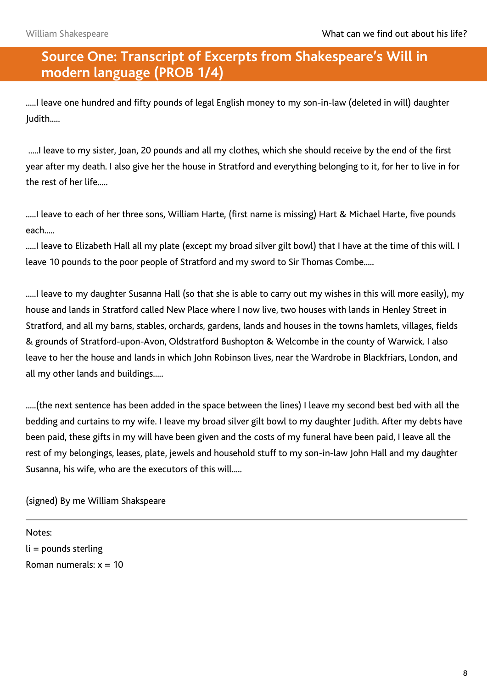#### **Source One: Transcript of Excerpts from Shakespeare's Will in modern language (PROB 1/4)**

.....I leave one hundred and fifty pounds of legal English money to my son-in-law (deleted in will) daughter Judith.....

.....I leave to my sister, Joan, 20 pounds and all my clothes, which she should receive by the end of the first year after my death. I also give her the house in Stratford and everything belonging to it, for her to live in for the rest of her life.....

.....I leave to each of her three sons, William Harte, (first name is missing) Hart & Michael Harte, five pounds each.....

.....I leave to Elizabeth Hall all my plate (except my broad silver gilt bowl) that I have at the time of this will. I leave 10 pounds to the poor people of Stratford and my sword to Sir Thomas Combe.....

.....I leave to my daughter Susanna Hall (so that she is able to carry out my wishes in this will more easily), my house and lands in Stratford called New Place where I now live, two houses with lands in Henley Street in Stratford, and all my barns, stables, orchards, gardens, lands and houses in the towns hamlets, villages, fields & grounds of Stratford-upon-Avon, Oldstratford Bushopton & Welcombe in the county of Warwick. I also leave to her the house and lands in which John Robinson lives, near the Wardrobe in Blackfriars, London, and all my other lands and buildings.....

.....(the next sentence has been added in the space between the lines) I leave my second best bed with all the bedding and curtains to my wife. I leave my broad silver gilt bowl to my daughter Judith. After my debts have been paid, these gifts in my will have been given and the costs of my funeral have been paid, I leave all the rest of my belongings, leases, plate, jewels and household stuff to my son-in-law John Hall and my daughter Susanna, his wife, who are the executors of this will.....

(signed) By me William Shakspeare

Notes: li = pounds sterling Roman numerals:  $x = 10$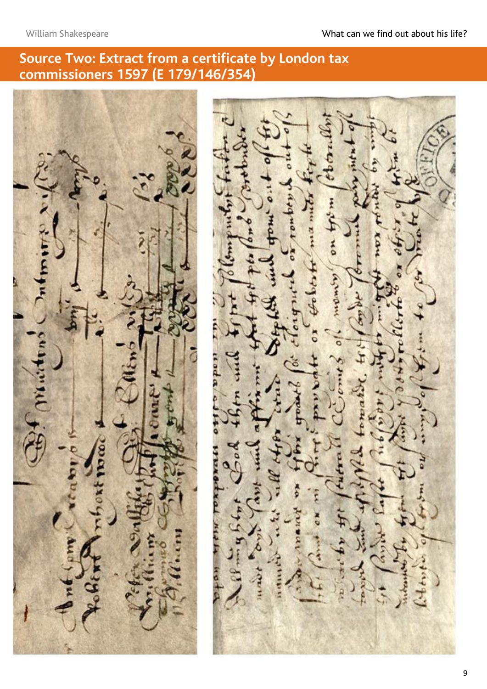#### **Source Two: Extract from a certificate by London tax commissioners 1597 (E 179/146/354)**

no aguagu **SASS**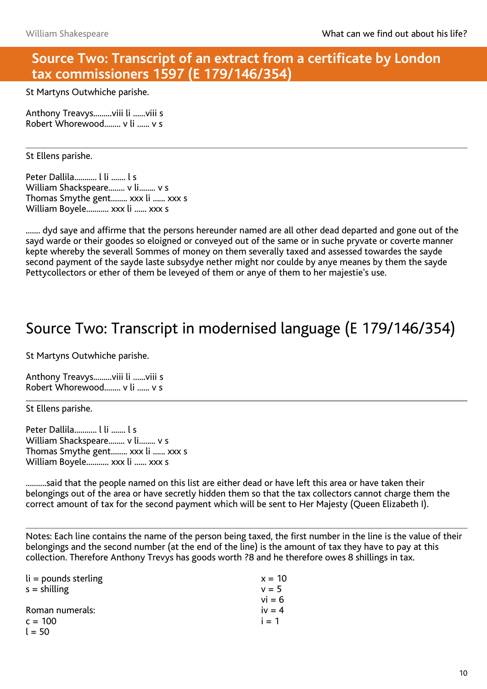#### **Source Two: Transcript of an extract from a certificate by London tax commissioners 1597 (E 179/146/354)**

St Martyns Outwhiche parishe.

Anthony Treavys.........viii li ......viii s Robert Whorewood........ v li ...... v s

#### St Ellens parishe.

Peter Dallila........... I li ....... I s William Shackspeare........ v li........ v s Thomas Smythe gent........ xxx li ...... xxx s William Boyele........... xxx li ...... xxx s

....... dyd saye and affirme that the persons hereunder named are all other dead departed and gone out of the sayd warde or their goodes so eloigned or conveyed out of the same or in suche pryvate or coverte manner kepte whereby the severall Sommes of money on them severally taxed and assessed towardes the sayde second payment of the sayde laste subsydye nether might nor coulde by anye meanes by them the sayde Pettycollectors or ether of them be leveyed of them or anye of them to her majestie's use.

## Source Two: Transcript in modernised language (E 179/146/354)

St Martyns Outwhiche parishe.

Anthony Treavys.........viii li ......viii s Robert Whorewood........ v li ...... v s

St Ellens parishe.

Peter Dallila........... l li ....... l s William Shackspeare........ v li........ v s Thomas Smythe gent........ xxx li ...... xxx s William Boyele........... xxx li ...... xxx s

..........said that the people named on this list are either dead or have left this area or have taken their belongings out of the area or have secretly hidden them so that the tax collectors cannot charge them the correct amount of tax for the second payment which will be sent to Her Majesty (Queen Elizabeth I).

Notes: Each line contains the name of the person being taxed, the first number in the line is the value of their belongings and the second number (at the end of the line) is the amount of tax they have to pay at this collection. Therefore Anthony Trevys has goods worth ?8 and he therefore owes 8 shillings in tax.

| $li =$ pounds sterling | $x = 10$ |
|------------------------|----------|
| $s =$ shilling         | $v = 5$  |
|                        | $vi = 6$ |
| Roman numerals:        | iv $= 4$ |
| $c = 100$              | $i = 1$  |
| $l = 50$               |          |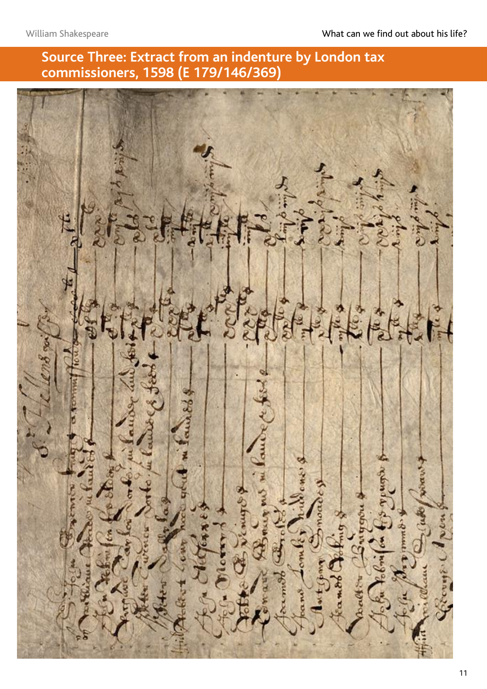### **Source Three: Extract from an indenture by London tax commissioners, 1598 (E 179/146/369)**

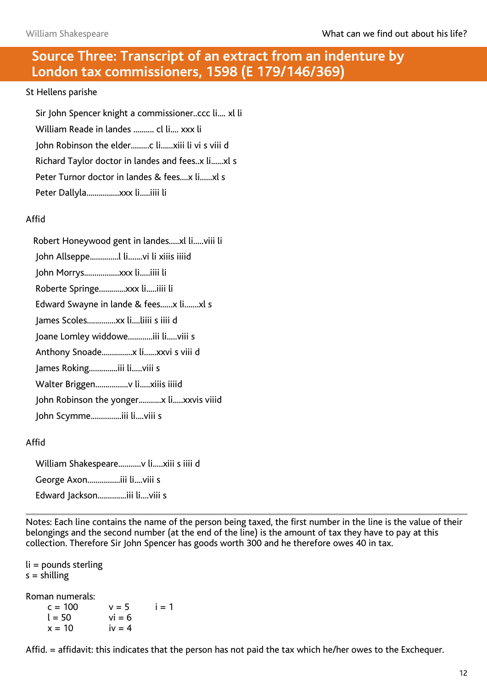#### **Source Three: Transcript of an extract from an indenture by London tax commissioners, 1598 (E 179/146/369)**

#### St Hellens parishe

 Sir John Spencer knight a commissioner..ccc li.... xl li William Reade in landes .......... cl li.... xxx li John Robinson the elder.........c li......xiii li vi s viii d Richard Taylor doctor in landes and fees..x li......xl s Peter Turnor doctor in landes & fees....x li......xl s Peter Dallyla................xxx li.....iiii li

#### Affid

 Robert Honeywood gent in landes.....xl li.....viii li John Allseppe..............l li.......vi li xiiis iiiid John Morrys.................xxx li.....iiii li Roberte Springe.............xxx li.....iiii li Edward Swayne in lande & fees......x li.......xl s James Scoles..............xx li....liiii s iiii d Joane Lomley widdowe............iii li.....viii s Anthony Snoade...............x li......xxvi s viii d James Roking..............iii li.....viii s Walter Briggen................v li.....xiiis iiiid John Robinson the yonger...........x li.....xxvis viiid John Scymme...............iii li....viii s

#### Affid

 William Shakespeare...........v li.....xiii s iiii d George Axon................iii li....viii s Edward Jackson..............iii li....viii s

Notes: Each line contains the name of the person being taxed, the first number in the line is the value of their belongings and the second number (at the end of the line) is the amount of tax they have to pay at this collection. Therefore Sir John Spencer has goods worth 300 and he therefore owes 40 in tax.

li = pounds sterling  $s =$ shilling

Roman numerals:

 $c = 100$  $l = 50$  $x = 10$  $v = 5$  $vi = 6$  $iv = 4$  $i = 1$ 

Affid. = affidavit: this indicates that the person has not paid the tax which he/her owes to the Exchequer.